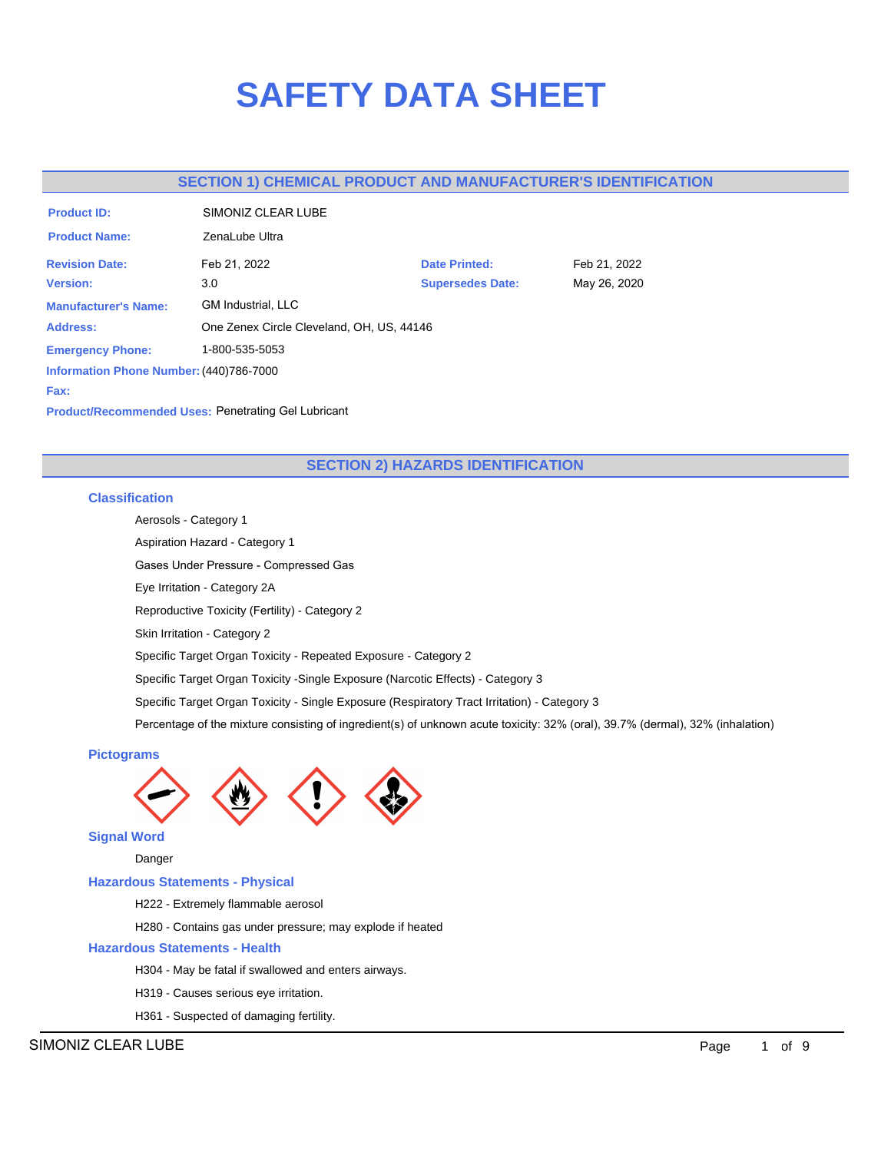# **SAFETY DATA SHEET**

### **SECTION 1) CHEMICAL PRODUCT AND MANUFACTURER'S IDENTIFICATION**

| SIMONIZ CLEAR LUBE                      |                         |                                           |  |
|-----------------------------------------|-------------------------|-------------------------------------------|--|
| ZenaLube Ultra                          |                         |                                           |  |
| Feb 21, 2022                            | <b>Date Printed:</b>    | Feb 21, 2022                              |  |
| 3.0                                     | <b>Supersedes Date:</b> | May 26, 2020                              |  |
| <b>GM Industrial, LLC</b>               |                         |                                           |  |
|                                         |                         |                                           |  |
| 1-800-535-5053                          |                         |                                           |  |
| Information Phone Number: (440)786-7000 |                         |                                           |  |
|                                         |                         |                                           |  |
|                                         |                         | One Zenex Circle Cleveland, OH, US, 44146 |  |

**Product/Recommended Uses:**  Penetrating Gel Lubricant

### **SECTION 2) HAZARDS IDENTIFICATION**

### **Classification**

Aerosols - Category 1 Aspiration Hazard - Category 1 Gases Under Pressure - Compressed Gas Eye Irritation - Category 2A Reproductive Toxicity (Fertility) - Category 2 Skin Irritation - Category 2 Specific Target Organ Toxicity - Repeated Exposure - Category 2 Specific Target Organ Toxicity -Single Exposure (Narcotic Effects) - Category 3 Specific Target Organ Toxicity - Single Exposure (Respiratory Tract Irritation) - Category 3 Percentage of the mixture consisting of ingredient(s) of unknown acute toxicity: 32% (oral), 39.7% (dermal), 32% (inhalation)

### **Pictograms**



**Signal Word**

Danger

**Hazardous Statements - Physical**

H222 - Extremely flammable aerosol

H280 - Contains gas under pressure; may explode if heated

### **Hazardous Statements - Health**

H304 - May be fatal if swallowed and enters airways.

H319 - Causes serious eye irritation.

H361 - Suspected of damaging fertility.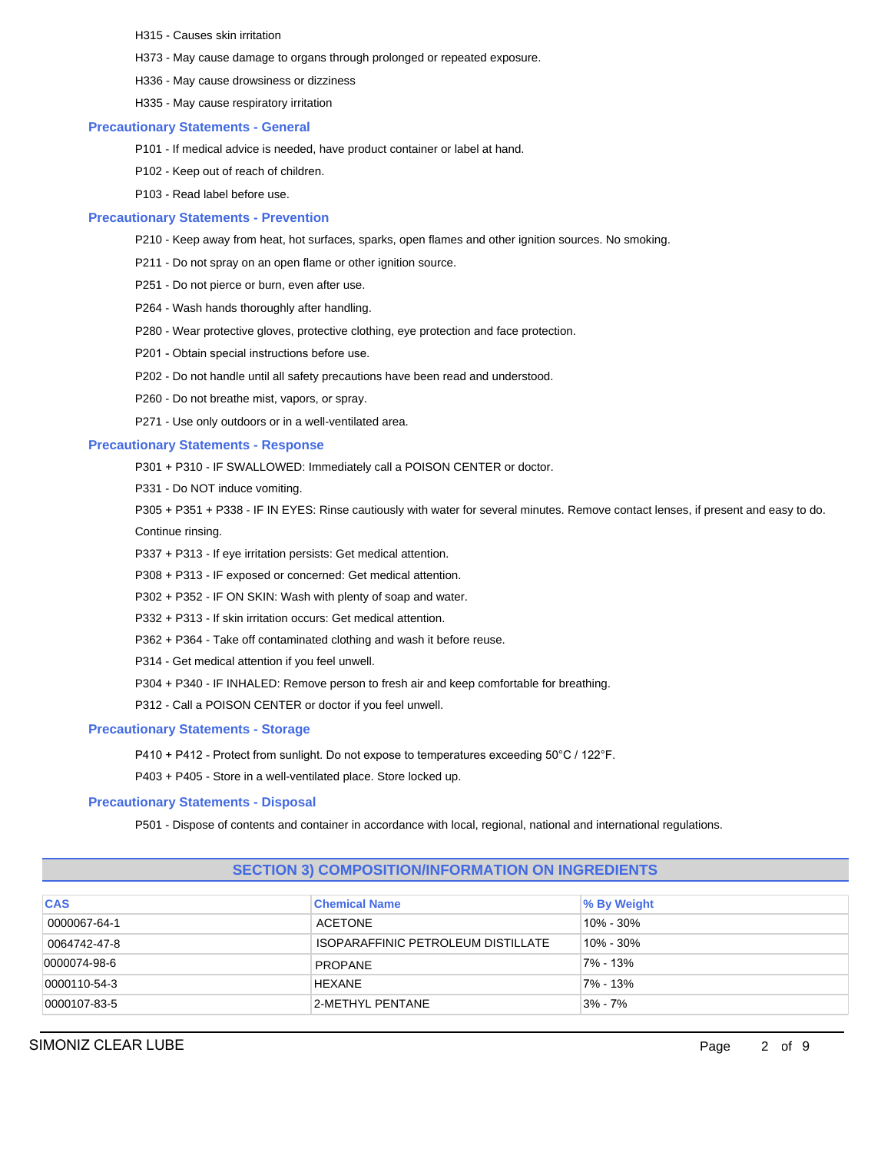- H315 Causes skin irritation
- H373 May cause damage to organs through prolonged or repeated exposure.
- H336 May cause drowsiness or dizziness
- H335 May cause respiratory irritation

### **Precautionary Statements - General**

- P101 If medical advice is needed, have product container or label at hand.
- P102 Keep out of reach of children.
- P103 Read label before use.

#### **Precautionary Statements - Prevention**

- P210 Keep away from heat, hot surfaces, sparks, open flames and other ignition sources. No smoking.
- P211 Do not spray on an open flame or other ignition source.
- P251 Do not pierce or burn, even after use.
- P264 Wash hands thoroughly after handling.
- P280 Wear protective gloves, protective clothing, eye protection and face protection.
- P201 Obtain special instructions before use.
- P202 Do not handle until all safety precautions have been read and understood.
- P260 Do not breathe mist, vapors, or spray.
- P271 Use only outdoors or in a well-ventilated area.

### **Precautionary Statements - Response**

P301 + P310 - IF SWALLOWED: Immediately call a POISON CENTER or doctor.

P331 - Do NOT induce vomiting.

P305 + P351 + P338 - IF IN EYES: Rinse cautiously with water for several minutes. Remove contact lenses, if present and easy to do.

Continue rinsing.

- P337 + P313 If eye irritation persists: Get medical attention.
- P308 + P313 IF exposed or concerned: Get medical attention.
- P302 + P352 IF ON SKIN: Wash with plenty of soap and water.
- P332 + P313 If skin irritation occurs: Get medical attention.
- P362 + P364 Take off contaminated clothing and wash it before reuse.
- P314 Get medical attention if you feel unwell.
- P304 + P340 IF INHALED: Remove person to fresh air and keep comfortable for breathing.
- P312 Call a POISON CENTER or doctor if you feel unwell.

### **Precautionary Statements - Storage**

P410 + P412 - Protect from sunlight. Do not expose to temperatures exceeding 50°C / 122°F.

P403 + P405 - Store in a well-ventilated place. Store locked up.

### **Precautionary Statements - Disposal**

P501 - Dispose of contents and container in accordance with local, regional, national and international regulations.

| <b>CAS</b>   | <b>Chemical Name</b>                      | % By Weight |
|--------------|-------------------------------------------|-------------|
| 0000067-64-1 | ACETONE                                   | 10% - 30%   |
| 0064742-47-8 | <b>ISOPARAFFINIC PETROLEUM DISTILLATE</b> | 10% - 30%   |
| 0000074-98-6 | <b>PROPANE</b>                            | 7% - 13%    |
| 0000110-54-3 | HEXANE                                    | 7% - 13%    |
| 0000107-83-5 | 2-METHYL PENTANE                          | 3% - 7%     |

### **SECTION 3) COMPOSITION/INFORMATION ON INGREDIENTS**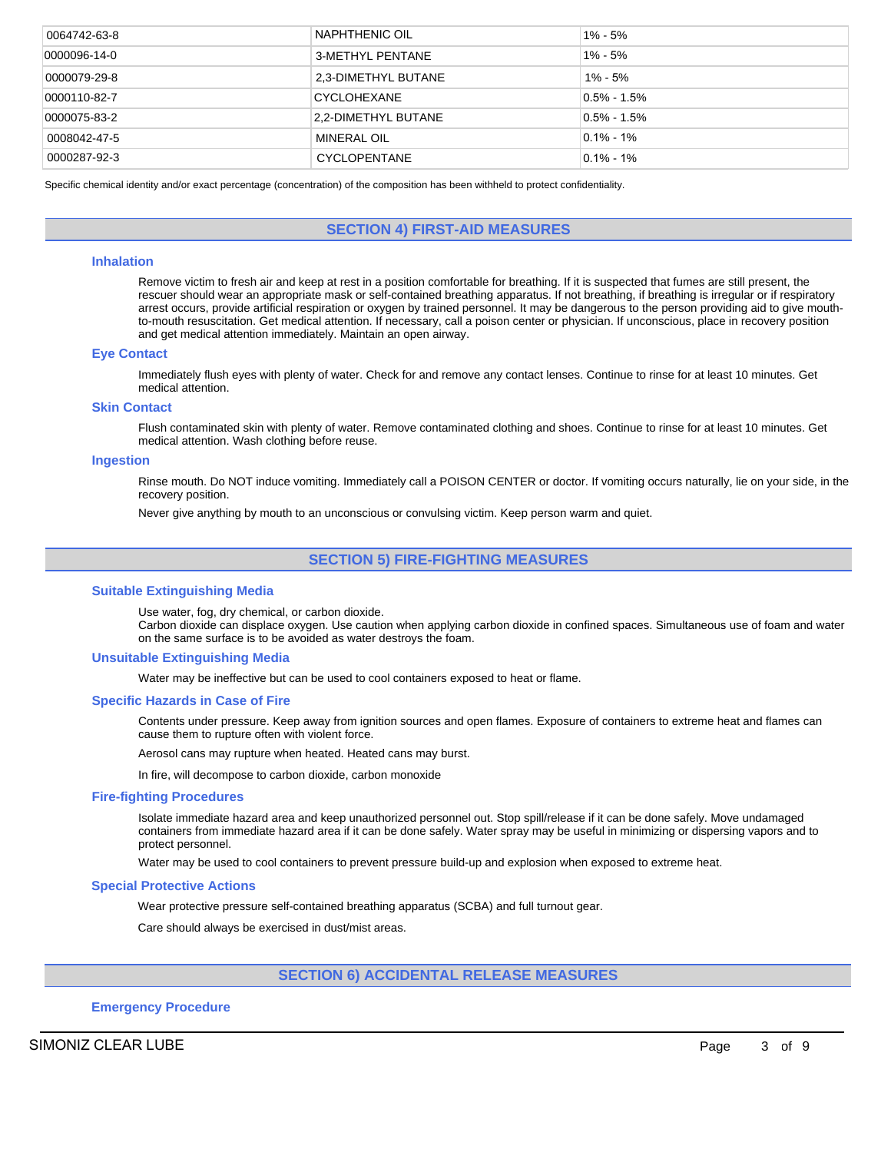| 0064742-63-8 | NAPHTHENIC OIL      | $1\% - 5\%$     |
|--------------|---------------------|-----------------|
| 0000096-14-0 | 3-METHYL PENTANE    | 1% - 5%         |
| 0000079-29-8 | 2.3-DIMETHYL BUTANE | $1\% - 5\%$     |
| 0000110-82-7 | <b>CYCLOHEXANE</b>  | $0.5\% - 1.5\%$ |
| 0000075-83-2 | 2.2-DIMETHYL BUTANE | $0.5\% - 1.5\%$ |
| 0008042-47-5 | MINERAL OIL         | $0.1\% - 1\%$   |
| 0000287-92-3 | <b>CYCLOPENTANE</b> | $0.1\% - 1\%$   |

Specific chemical identity and/or exact percentage (concentration) of the composition has been withheld to protect confidentiality.

### **SECTION 4) FIRST-AID MEASURES**

### **Inhalation**

Remove victim to fresh air and keep at rest in a position comfortable for breathing. If it is suspected that fumes are still present, the rescuer should wear an appropriate mask or self-contained breathing apparatus. If not breathing, if breathing is irregular or if respiratory arrest occurs, provide artificial respiration or oxygen by trained personnel. It may be dangerous to the person providing aid to give mouthto-mouth resuscitation. Get medical attention. If necessary, call a poison center or physician. If unconscious, place in recovery position and get medical attention immediately. Maintain an open airway.

#### **Eye Contact**

Immediately flush eyes with plenty of water. Check for and remove any contact lenses. Continue to rinse for at least 10 minutes. Get medical attention.

### **Skin Contact**

Flush contaminated skin with plenty of water. Remove contaminated clothing and shoes. Continue to rinse for at least 10 minutes. Get medical attention. Wash clothing before reuse.

#### **Ingestion**

Rinse mouth. Do NOT induce vomiting. Immediately call a POISON CENTER or doctor. If vomiting occurs naturally, lie on your side, in the recovery position.

Never give anything by mouth to an unconscious or convulsing victim. Keep person warm and quiet.

### **SECTION 5) FIRE-FIGHTING MEASURES**

#### **Suitable Extinguishing Media**

Use water, fog, dry chemical, or carbon dioxide.

Carbon dioxide can displace oxygen. Use caution when applying carbon dioxide in confined spaces. Simultaneous use of foam and water on the same surface is to be avoided as water destroys the foam.

### **Unsuitable Extinguishing Media**

Water may be ineffective but can be used to cool containers exposed to heat or flame.

#### **Specific Hazards in Case of Fire**

Contents under pressure. Keep away from ignition sources and open flames. Exposure of containers to extreme heat and flames can cause them to rupture often with violent force.

Aerosol cans may rupture when heated. Heated cans may burst.

In fire, will decompose to carbon dioxide, carbon monoxide

#### **Fire-fighting Procedures**

Isolate immediate hazard area and keep unauthorized personnel out. Stop spill/release if it can be done safely. Move undamaged containers from immediate hazard area if it can be done safely. Water spray may be useful in minimizing or dispersing vapors and to protect personnel.

Water may be used to cool containers to prevent pressure build-up and explosion when exposed to extreme heat.

### **Special Protective Actions**

Wear protective pressure self-contained breathing apparatus (SCBA) and full turnout gear.

Care should always be exercised in dust/mist areas.

### **SECTION 6) ACCIDENTAL RELEASE MEASURES**

### **Emergency Procedure**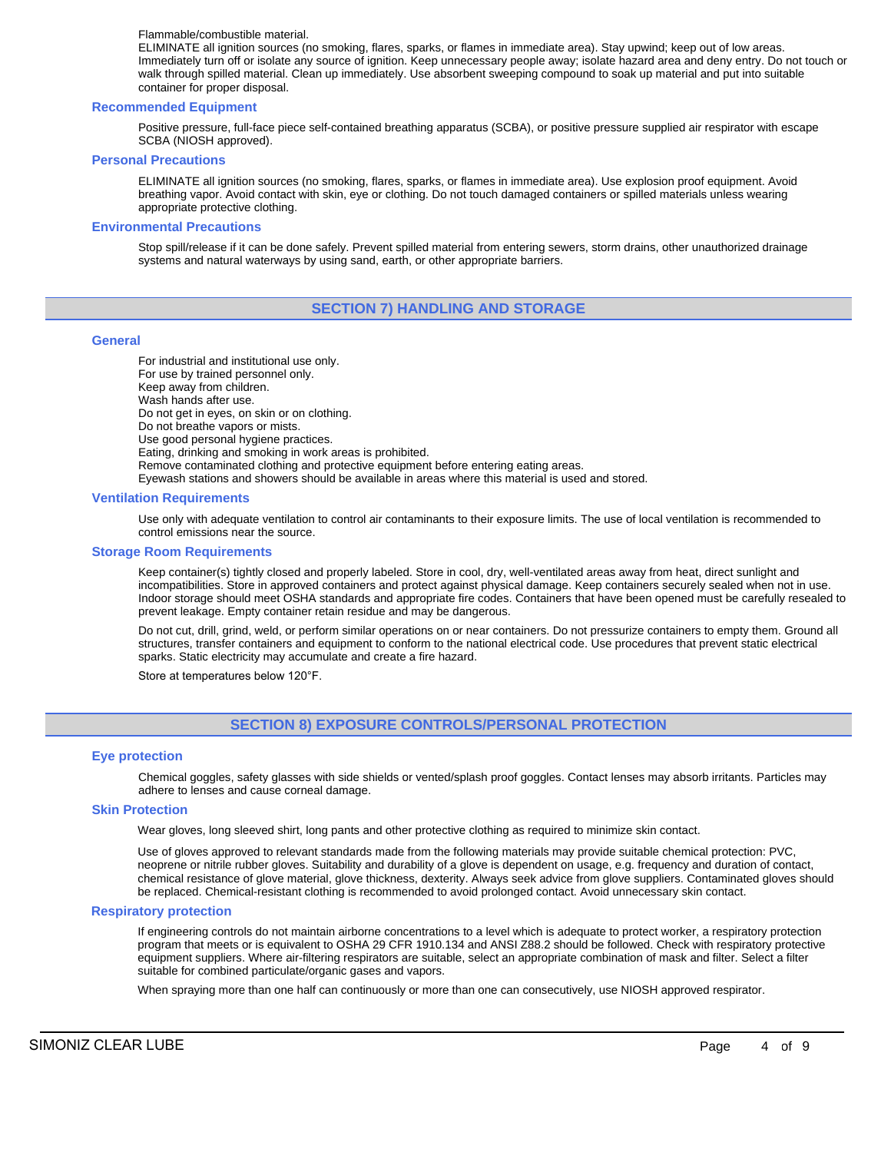#### Flammable/combustible material.

ELIMINATE all ignition sources (no smoking, flares, sparks, or flames in immediate area). Stay upwind; keep out of low areas. Immediately turn off or isolate any source of ignition. Keep unnecessary people away; isolate hazard area and deny entry. Do not touch or walk through spilled material. Clean up immediately. Use absorbent sweeping compound to soak up material and put into suitable container for proper disposal.

#### **Recommended Equipment**

Positive pressure, full-face piece self-contained breathing apparatus (SCBA), or positive pressure supplied air respirator with escape SCBA (NIOSH approved).

### **Personal Precautions**

ELIMINATE all ignition sources (no smoking, flares, sparks, or flames in immediate area). Use explosion proof equipment. Avoid breathing vapor. Avoid contact with skin, eye or clothing. Do not touch damaged containers or spilled materials unless wearing appropriate protective clothing.

#### **Environmental Precautions**

Stop spill/release if it can be done safely. Prevent spilled material from entering sewers, storm drains, other unauthorized drainage systems and natural waterways by using sand, earth, or other appropriate barriers.

### **SECTION 7) HANDLING AND STORAGE**

### **General**

For industrial and institutional use only. For use by trained personnel only.

Keep away from children.

Wash hands after use.

Do not get in eyes, on skin or on clothing.

Do not breathe vapors or mists.

Use good personal hygiene practices.

Eating, drinking and smoking in work areas is prohibited.

Remove contaminated clothing and protective equipment before entering eating areas.

Eyewash stations and showers should be available in areas where this material is used and stored.

#### **Ventilation Requirements**

Use only with adequate ventilation to control air contaminants to their exposure limits. The use of local ventilation is recommended to control emissions near the source.

### **Storage Room Requirements**

Keep container(s) tightly closed and properly labeled. Store in cool, dry, well-ventilated areas away from heat, direct sunlight and incompatibilities. Store in approved containers and protect against physical damage. Keep containers securely sealed when not in use. Indoor storage should meet OSHA standards and appropriate fire codes. Containers that have been opened must be carefully resealed to prevent leakage. Empty container retain residue and may be dangerous.

Do not cut, drill, grind, weld, or perform similar operations on or near containers. Do not pressurize containers to empty them. Ground all structures, transfer containers and equipment to conform to the national electrical code. Use procedures that prevent static electrical sparks. Static electricity may accumulate and create a fire hazard.

Store at temperatures below 120°F.

### **SECTION 8) EXPOSURE CONTROLS/PERSONAL PROTECTION**

### **Eye protection**

Chemical goggles, safety glasses with side shields or vented/splash proof goggles. Contact lenses may absorb irritants. Particles may adhere to lenses and cause corneal damage.

#### **Skin Protection**

Wear gloves, long sleeved shirt, long pants and other protective clothing as required to minimize skin contact.

Use of gloves approved to relevant standards made from the following materials may provide suitable chemical protection: PVC, neoprene or nitrile rubber gloves. Suitability and durability of a glove is dependent on usage, e.g. frequency and duration of contact, chemical resistance of glove material, glove thickness, dexterity. Always seek advice from glove suppliers. Contaminated gloves should be replaced. Chemical-resistant clothing is recommended to avoid prolonged contact. Avoid unnecessary skin contact.

#### **Respiratory protection**

If engineering controls do not maintain airborne concentrations to a level which is adequate to protect worker, a respiratory protection program that meets or is equivalent to OSHA 29 CFR 1910.134 and ANSI Z88.2 should be followed. Check with respiratory protective equipment suppliers. Where air-filtering respirators are suitable, select an appropriate combination of mask and filter. Select a filter suitable for combined particulate/organic gases and vapors.

When spraying more than one half can continuously or more than one can consecutively, use NIOSH approved respirator.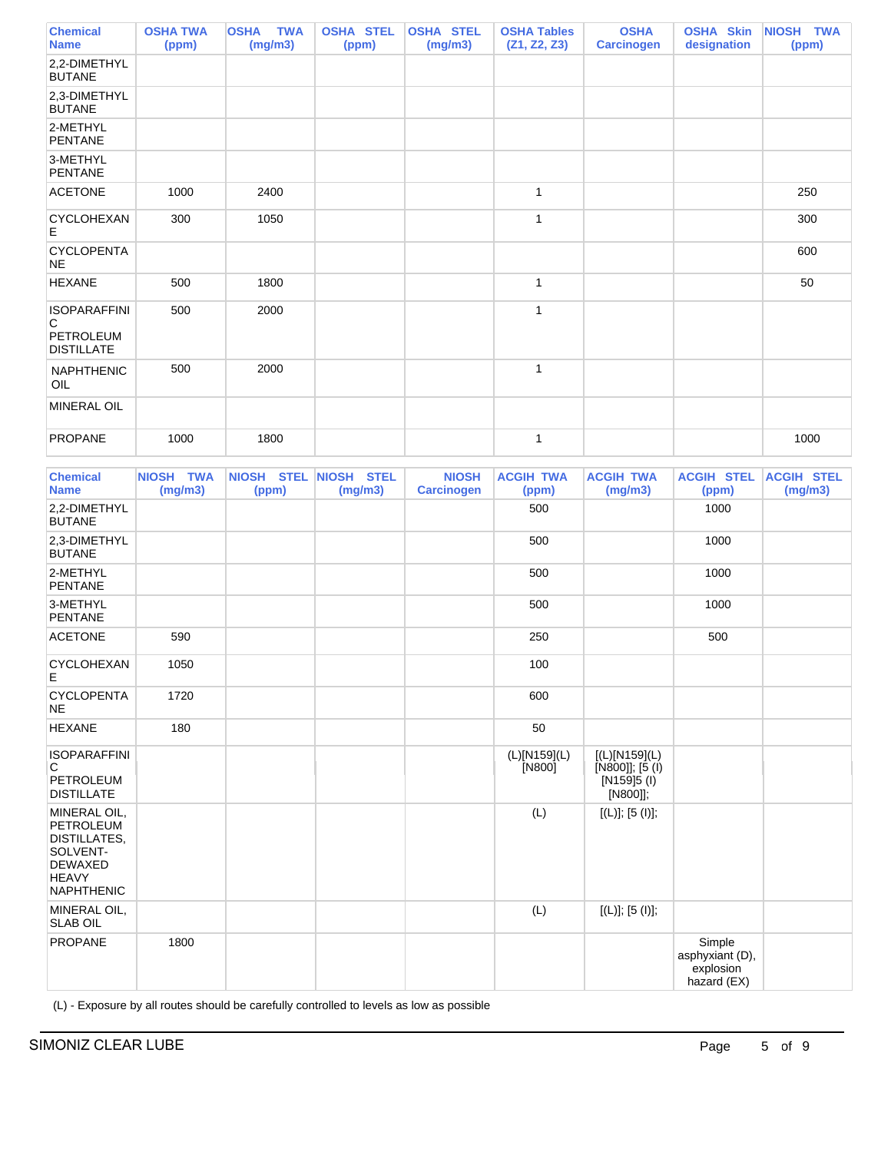| <b>Chemical</b><br><b>Name</b>                                    | <b>OSHA TWA</b><br>(ppm) | <b>OSHA</b><br><b>TWA</b><br>(mg/m3) | <b>OSHA STEL</b><br>(ppm) | <b>OSHA STEL</b><br>(mg/m3) | <b>OSHA Tables</b><br>(Z1, Z2, Z3) | <b>OSHA</b><br><b>Carcinogen</b> | <b>OSHA Skin</b><br>designation | NIOSH TWA<br>(ppm) |
|-------------------------------------------------------------------|--------------------------|--------------------------------------|---------------------------|-----------------------------|------------------------------------|----------------------------------|---------------------------------|--------------------|
| 2,2-DIMETHYL<br><b>BUTANE</b>                                     |                          |                                      |                           |                             |                                    |                                  |                                 |                    |
| 2,3-DIMETHYL<br><b>BUTANE</b>                                     |                          |                                      |                           |                             |                                    |                                  |                                 |                    |
| 2-METHYL<br><b>PENTANE</b>                                        |                          |                                      |                           |                             |                                    |                                  |                                 |                    |
| 3-METHYL<br><b>PENTANE</b>                                        |                          |                                      |                           |                             |                                    |                                  |                                 |                    |
| <b>ACETONE</b>                                                    | 1000                     | 2400                                 |                           |                             | 1                                  |                                  |                                 | 250                |
| CYCLOHEXAN<br>E.                                                  | 300                      | 1050                                 |                           |                             | 1                                  |                                  |                                 | 300                |
| <b>CYCLOPENTA</b><br><b>NE</b>                                    |                          |                                      |                           |                             |                                    |                                  |                                 | 600                |
| <b>HEXANE</b>                                                     | 500                      | 1800                                 |                           |                             | 1                                  |                                  |                                 | 50                 |
| <b>ISOPARAFFINI</b><br>C<br><b>PETROLEUM</b><br><b>DISTILLATE</b> | 500                      | 2000                                 |                           |                             | $\mathbf{1}$                       |                                  |                                 |                    |
| <b>NAPHTHENIC</b><br>OIL                                          | 500                      | 2000                                 |                           |                             | 1                                  |                                  |                                 |                    |
| <b>MINERAL OIL</b>                                                |                          |                                      |                           |                             |                                    |                                  |                                 |                    |
| <b>PROPANE</b>                                                    | 1000                     | 1800                                 |                           |                             | 1                                  |                                  |                                 | 1000               |

| <b>Chemical</b><br><b>Name</b>                                                                                             | <b>NIOSH TWA</b><br>(mg/m3) | NIOSH STEL NIOSH STEL<br>(ppm) | (mg/m3) | <b>NIOSH</b><br><b>Carcinogen</b> | <b>ACGIH TWA</b><br>(ppm) | <b>ACGIH TWA</b><br>(mg/m3)                                 | <b>ACGIH STEL</b><br>(ppm)                            | <b>ACGIH STEL</b><br>(mg/m3) |
|----------------------------------------------------------------------------------------------------------------------------|-----------------------------|--------------------------------|---------|-----------------------------------|---------------------------|-------------------------------------------------------------|-------------------------------------------------------|------------------------------|
| 2,2-DIMETHYL<br><b>BUTANE</b>                                                                                              |                             |                                |         |                                   | 500                       |                                                             | 1000                                                  |                              |
| 2,3-DIMETHYL<br><b>BUTANE</b>                                                                                              |                             |                                |         |                                   | 500                       |                                                             | 1000                                                  |                              |
| 2-METHYL<br><b>PENTANE</b>                                                                                                 |                             |                                |         |                                   | 500                       |                                                             | 1000                                                  |                              |
| 3-METHYL<br><b>PENTANE</b>                                                                                                 |                             |                                |         |                                   | 500                       |                                                             | 1000                                                  |                              |
| <b>ACETONE</b>                                                                                                             | 590                         |                                |         |                                   | 250                       |                                                             | 500                                                   |                              |
| <b>CYCLOHEXAN</b><br>Е                                                                                                     | 1050                        |                                |         |                                   | 100                       |                                                             |                                                       |                              |
| <b>CYCLOPENTA</b><br><b>NE</b>                                                                                             | 1720                        |                                |         |                                   | 600                       |                                                             |                                                       |                              |
| <b>HEXANE</b>                                                                                                              | 180                         |                                |         |                                   | 50                        |                                                             |                                                       |                              |
| <b>ISOPARAFFINI</b><br>C<br>PETROLEUM<br><b>DISTILLATE</b>                                                                 |                             |                                |         |                                   | (L)[N159](L)<br>[N800]    | [(L)[N159](L)<br>[N800]]; [5 (I)<br>[N159]5 (I)<br>[N800]]; |                                                       |                              |
| MINERAL OIL,<br><b>PETROLEUM</b><br><b>DISTILLATES,</b><br>SOLVENT-<br><b>DEWAXED</b><br><b>HEAVY</b><br><b>NAPHTHENIC</b> |                             |                                |         |                                   | (L)                       | [(L)]; [5 (I)];                                             |                                                       |                              |
| MINERAL OIL,<br><b>SLAB OIL</b>                                                                                            |                             |                                |         |                                   | (L)                       | [(L)]; [5 (I)];                                             |                                                       |                              |
| <b>PROPANE</b>                                                                                                             | 1800                        |                                |         |                                   |                           |                                                             | Simple<br>asphyxiant (D),<br>explosion<br>hazard (EX) |                              |

(L) - Exposure by all routes should be carefully controlled to levels as low as possible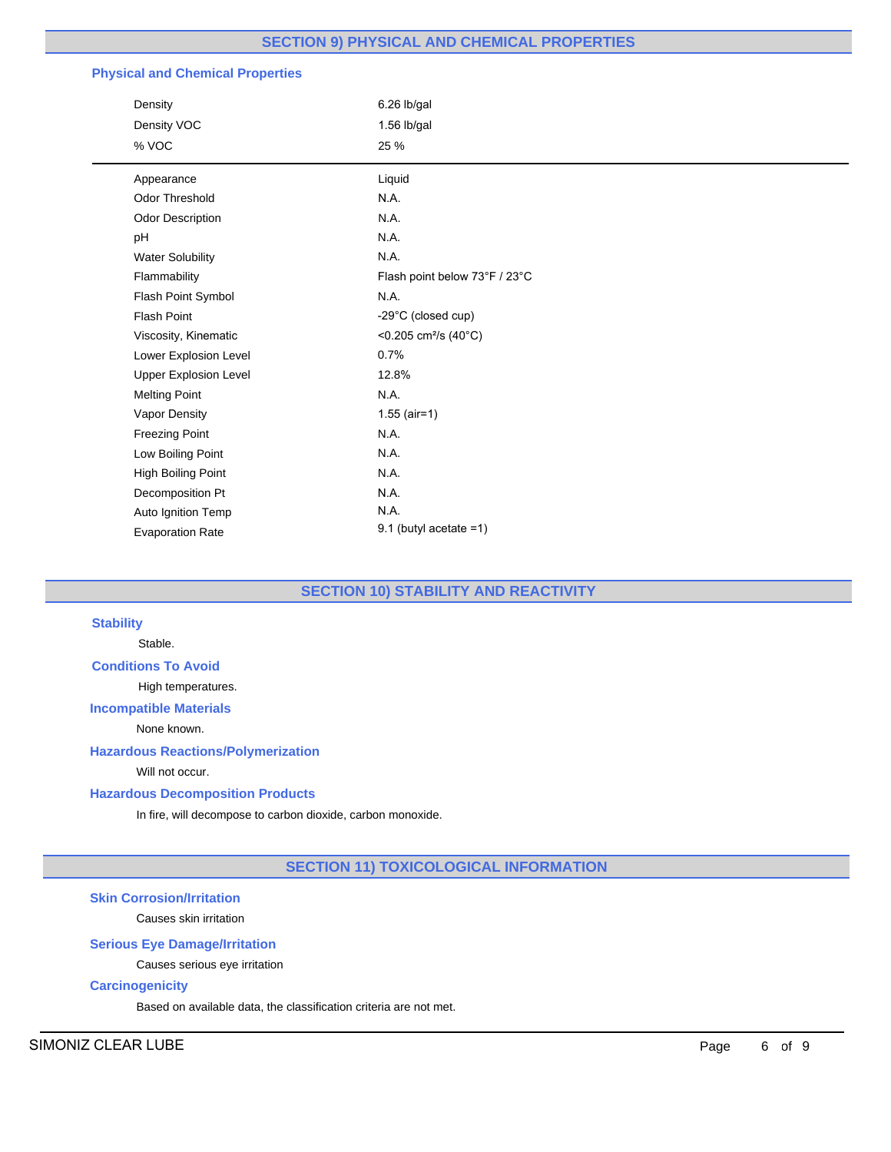### **SECTION 9) PHYSICAL AND CHEMICAL PROPERTIES**

### **Physical and Chemical Properties**

| Density                      | 6.26 lb/gal                      |  |
|------------------------------|----------------------------------|--|
| Density VOC                  | $1.56$ lb/gal                    |  |
| % VOC                        | 25 %                             |  |
| Appearance                   | Liquid                           |  |
| <b>Odor Threshold</b>        | N.A.                             |  |
| <b>Odor Description</b>      | N.A.                             |  |
| pH                           | N.A.                             |  |
| <b>Water Solubility</b>      | N.A.                             |  |
| Flammability                 | Flash point below 73°F / 23°C    |  |
| Flash Point Symbol           | N.A.                             |  |
| Flash Point                  | -29°C (closed cup)               |  |
| Viscosity, Kinematic         | <0.205 cm <sup>2</sup> /s (40°C) |  |
| Lower Explosion Level        | 0.7%                             |  |
| <b>Upper Explosion Level</b> | 12.8%                            |  |
| <b>Melting Point</b>         | N.A.                             |  |
| Vapor Density                | $1.55$ (air=1)                   |  |
| <b>Freezing Point</b>        | N.A.                             |  |
| Low Boiling Point            | N.A.                             |  |
| High Boiling Point           | N.A.                             |  |
| Decomposition Pt             | N.A.                             |  |
| Auto Ignition Temp           | N.A.                             |  |
| <b>Evaporation Rate</b>      | 9.1 (butyl acetate =1)           |  |

### **SECTION 10) STABILITY AND REACTIVITY**

### **Stability**

# Stable.

### **Conditions To Avoid**

### High temperatures.

### **Incompatible Materials**

None known.

### **Hazardous Reactions/Polymerization**

### Will not occur.

### **Hazardous Decomposition Products**

In fire, will decompose to carbon dioxide, carbon monoxide.

## **SECTION 11) TOXICOLOGICAL INFORMATION**

### **Skin Corrosion/Irritation**

Causes skin irritation

### **Serious Eye Damage/Irritation**

Causes serious eye irritation

### **Carcinogenicity**

Based on available data, the classification criteria are not met.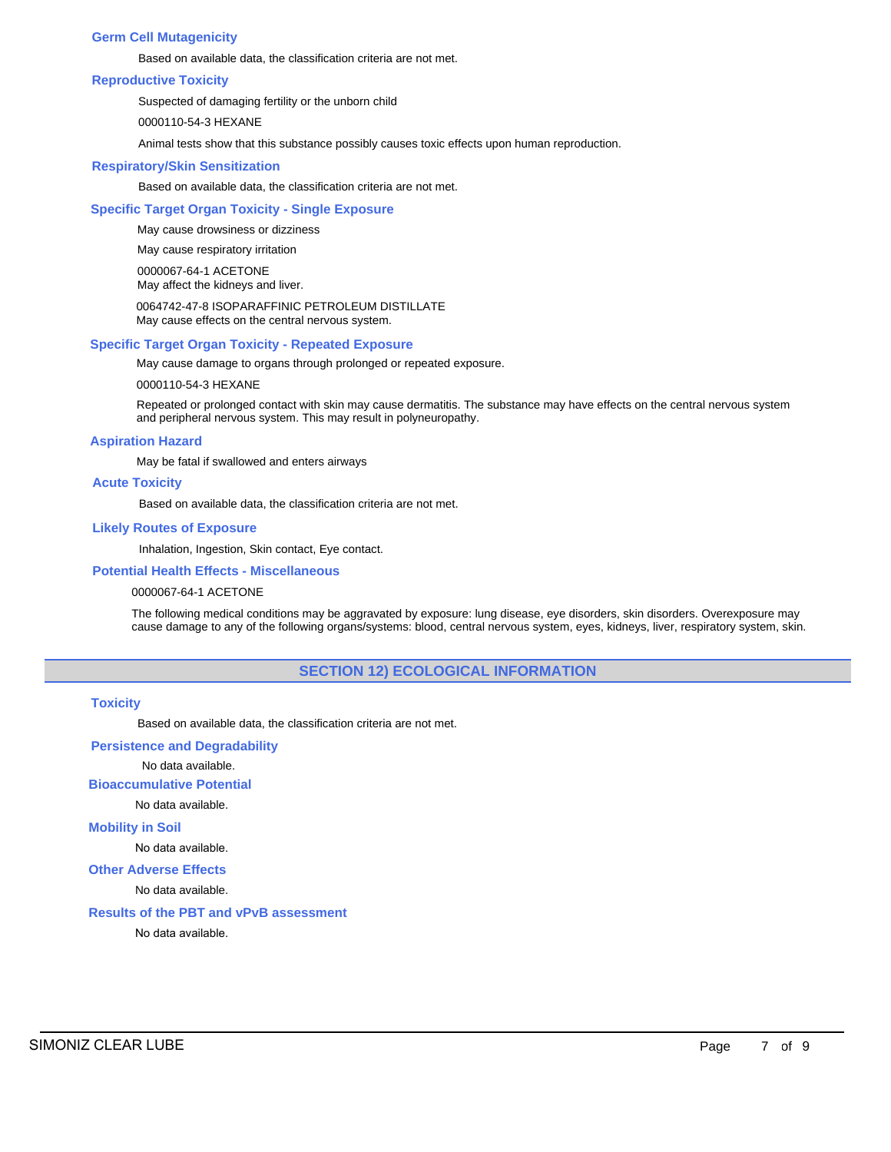### **Germ Cell Mutagenicity**

Based on available data, the classification criteria are not met.

### **Reproductive Toxicity**

Suspected of damaging fertility or the unborn child

0000110-54-3 HEXANE

Animal tests show that this substance possibly causes toxic effects upon human reproduction.

### **Respiratory/Skin Sensitization**

Based on available data, the classification criteria are not met.

### **Specific Target Organ Toxicity - Single Exposure**

May cause drowsiness or dizziness

May cause respiratory irritation

0000067-64-1 ACETONE

May affect the kidneys and liver.

0064742-47-8 ISOPARAFFINIC PETROLEUM DISTILLATE May cause effects on the central nervous system.

### **Specific Target Organ Toxicity - Repeated Exposure**

May cause damage to organs through prolonged or repeated exposure.

#### 0000110-54-3 HEXANE

Repeated or prolonged contact with skin may cause dermatitis. The substance may have effects on the central nervous system and peripheral nervous system. This may result in polyneuropathy.

### **Aspiration Hazard**

May be fatal if swallowed and enters airways

### **Acute Toxicity**

Based on available data, the classification criteria are not met.

### **Likely Routes of Exposure**

Inhalation, Ingestion, Skin contact, Eye contact.

### **Potential Health Effects - Miscellaneous**

### 0000067-64-1 ACETONE

The following medical conditions may be aggravated by exposure: lung disease, eye disorders, skin disorders. Overexposure may cause damage to any of the following organs/systems: blood, central nervous system, eyes, kidneys, liver, respiratory system, skin.

### **SECTION 12) ECOLOGICAL INFORMATION**

### **Toxicity**

Based on available data, the classification criteria are not met.

### **Persistence and Degradability**

No data available.

### **Bioaccumulative Potential**

No data available.

### **Mobility in Soil**

No data available.

### **Other Adverse Effects**

No data available.

### **Results of the PBT and vPvB assessment**

No data available.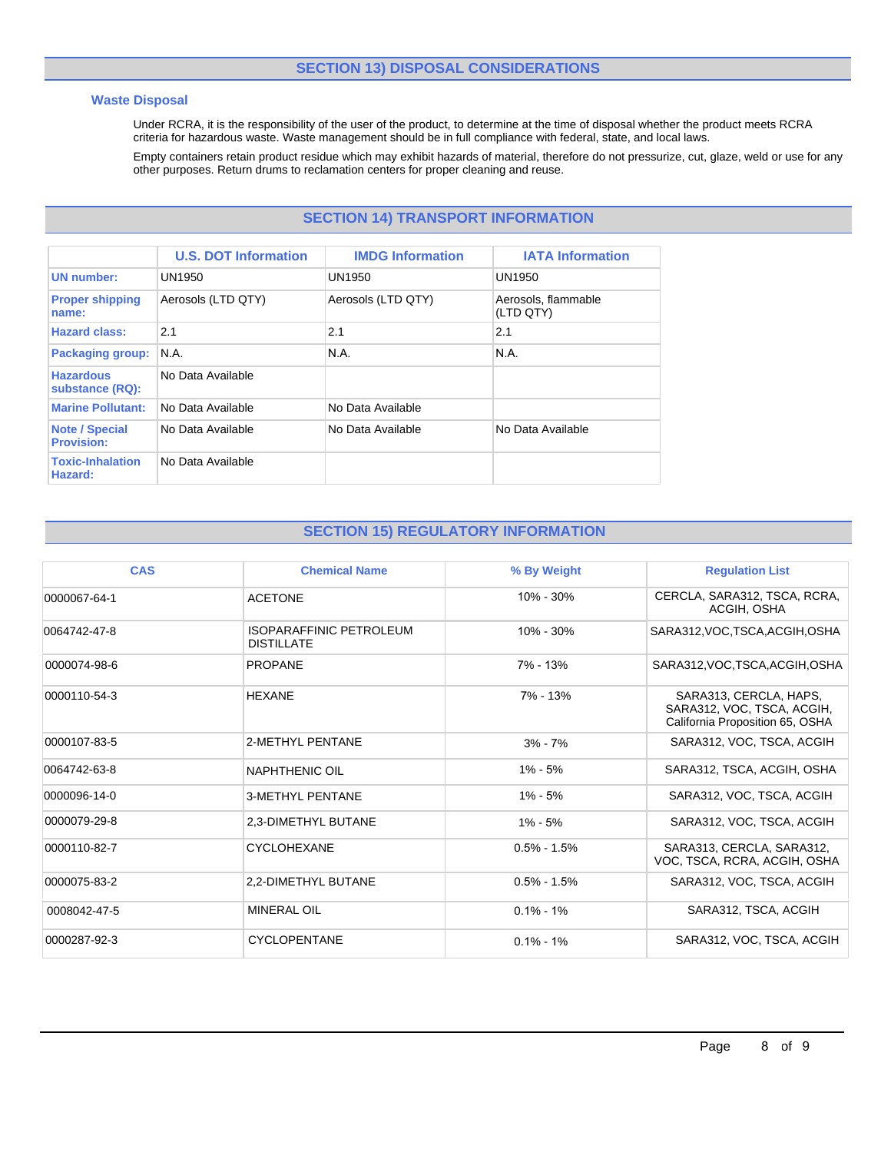### **SECTION 13) DISPOSAL CONSIDERATIONS**

### **Waste Disposal**

Under RCRA, it is the responsibility of the user of the product, to determine at the time of disposal whether the product meets RCRA criteria for hazardous waste. Waste management should be in full compliance with federal, state, and local laws.

Empty containers retain product residue which may exhibit hazards of material, therefore do not pressurize, cut, glaze, weld or use for any other purposes. Return drums to reclamation centers for proper cleaning and reuse.

### **SECTION 14) TRANSPORT INFORMATION**

|                                            | <b>U.S. DOT Information</b> | <b>IMDG Information</b> | <b>IATA Information</b>          |
|--------------------------------------------|-----------------------------|-------------------------|----------------------------------|
| <b>UN</b> number:                          | UN1950                      | <b>UN1950</b>           | UN1950                           |
| <b>Proper shipping</b><br>name:            | Aerosols (LTD QTY)          | Aerosols (LTD QTY)      | Aerosols, flammable<br>(LTD QTY) |
| <b>Hazard class:</b>                       | 2.1                         | 2.1                     | 2.1                              |
| <b>Packaging group:</b>                    | N.A.                        | N.A.                    | N.A.                             |
| <b>Hazardous</b><br>substance (RQ):        | No Data Available           |                         |                                  |
| <b>Marine Pollutant:</b>                   | No Data Available           | No Data Available       |                                  |
| <b>Note / Special</b><br><b>Provision:</b> | No Data Available           | No Data Available       | No Data Available                |
| <b>Toxic-Inhalation</b><br>Hazard:         | No Data Available           |                         |                                  |

### **SECTION 15) REGULATORY INFORMATION**

| <b>CAS</b>   | <b>Chemical Name</b>                                | % By Weight     | <b>Regulation List</b>                                                                  |
|--------------|-----------------------------------------------------|-----------------|-----------------------------------------------------------------------------------------|
| 0000067-64-1 | <b>ACETONE</b>                                      | $10\% - 30\%$   | CERCLA, SARA312, TSCA, RCRA,<br>ACGIH, OSHA                                             |
| 0064742-47-8 | <b>ISOPARAFFINIC PETROLEUM</b><br><b>DISTILLATE</b> | $10\% - 30\%$   | SARA312, VOC, TSCA, ACGIH, OSHA                                                         |
| 0000074-98-6 | <b>PROPANE</b>                                      | 7% - 13%        | SARA312, VOC, TSCA, ACGIH, OSHA                                                         |
| 0000110-54-3 | <b>HEXANE</b>                                       | 7% - 13%        | SARA313, CERCLA, HAPS,<br>SARA312, VOC, TSCA, ACGIH,<br>California Proposition 65, OSHA |
| 0000107-83-5 | 2-METHYL PENTANE                                    | $3% - 7%$       | SARA312, VOC. TSCA, ACGIH                                                               |
| 0064742-63-8 | <b>NAPHTHENIC OIL</b>                               | $1\% - 5\%$     | SARA312, TSCA, ACGIH, OSHA                                                              |
| 0000096-14-0 | <b>3-METHYL PENTANE</b>                             | $1\% - 5\%$     | SARA312, VOC, TSCA, ACGIH                                                               |
| 0000079-29-8 | 2,3-DIMETHYL BUTANE                                 | $1\% - 5\%$     | SARA312, VOC, TSCA, ACGIH                                                               |
| 0000110-82-7 | <b>CYCLOHEXANE</b>                                  | $0.5\% - 1.5\%$ | SARA313, CERCLA, SARA312,<br>VOC, TSCA, RCRA, ACGIH, OSHA                               |
| 0000075-83-2 | 2.2-DIMETHYL BUTANE                                 | $0.5\% - 1.5\%$ | SARA312, VOC. TSCA, ACGIH                                                               |
| 0008042-47-5 | <b>MINERAL OIL</b>                                  | $0.1\% - 1\%$   | SARA312, TSCA, ACGIH                                                                    |
| 0000287-92-3 | <b>CYCLOPENTANE</b>                                 | $0.1\% - 1\%$   | SARA312, VOC, TSCA, ACGIH                                                               |